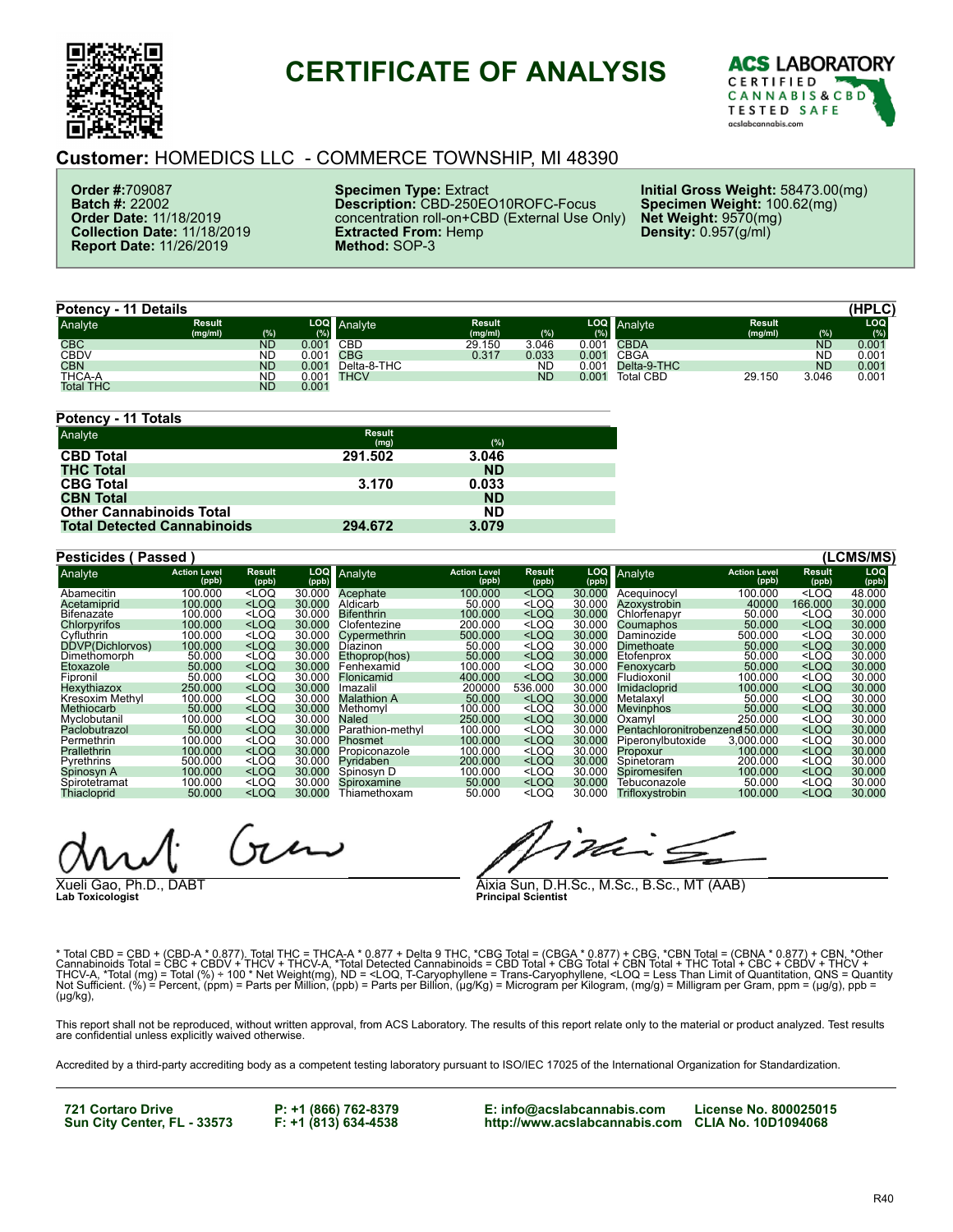

## **CERTIFICATE OF ANALYSIS**



## **Customer:** HOMEDICS LLC - COMMERCE TOWNSHIP, MI 48390

**Order #:**709087 **Batch #:** 22002 **Order Date:** 11/18/2019 **Collection Date:** 11/18/2019 **Report Date:** 11/26/2019

**Specimen Type:** Extract **Description:** CBD-250EO10ROFC-Focus concentration roll-on+CBD (External Use Only) **Extracted From:** Hemp **Method:** SOP-3

**Initial Gross Weight:** 58473.00(mg) **Specimen Weight:** 100.62(mg) **Net Weight:** 9570(mg) **Density:** 0.957(g/ml)

|                  | <b>Potency - 11 Details</b> |           |       |             |                          |           |            |                  |                          |           | (HPLC)            |
|------------------|-----------------------------|-----------|-------|-------------|--------------------------|-----------|------------|------------------|--------------------------|-----------|-------------------|
| Analyte          | <b>Result</b><br>(mg/ml)    | (%)       | (9)   | LOQ Analyte | <b>Result</b><br>(mg/ml) | (%)       | LOQ<br>(%) | Analyte          | <b>Result</b><br>(mg/ml) | (%)       | <b>LOQ</b>        |
| <b>CBC</b>       |                             | <b>ND</b> | 0.001 | CBD         | 29.150                   | 3.046     | 0.001      | <b>CBDA</b>      |                          | <b>ND</b> | 0.00 <sub>1</sub> |
| <b>CBDV</b>      |                             | <b>ND</b> | 0.001 | <b>CBG</b>  | 0.317                    | 0.033     | 0.001      | <b>CBGA</b>      |                          | ND        | $0.00^{\circ}$    |
| <b>CBN</b>       |                             | <b>ND</b> | 0.001 | Delta-8-THC |                          | ND        | 0.001      | Delta-9-THC      |                          | <b>ND</b> | 0.00 <sub>1</sub> |
| <b>THCA-A</b>    |                             | <b>ND</b> | 0.001 | <b>THCV</b> |                          | <b>ND</b> | 0.001      | <b>Total CBD</b> | 29.150                   | 3.046     | 0.00 <sub>1</sub> |
| <b>Total THC</b> |                             | <b>ND</b> | 0.001 |             |                          |           |            |                  |                          |           |                   |

| Potency - 11 Totals                |                       |           |  |
|------------------------------------|-----------------------|-----------|--|
| Analyte                            | <b>Result</b><br>(mg) | (%)       |  |
| <b>CBD Total</b>                   | 291.502               | 3.046     |  |
| <b>THC Total</b>                   |                       | <b>ND</b> |  |
| <b>CBG Total</b>                   | 3.170                 | 0.033     |  |
| <b>CBN Total</b>                   |                       | <b>ND</b> |  |
| <b>Other Cannabinoids Total</b>    |                       | <b>ND</b> |  |
| <b>Total Detected Cannabinoids</b> | 294.672               | 3.079     |  |

| <b>Pesticides (Passed)</b> |                              |                                                                                                                                                                                                        |              |                    |                              |                                                                                                                           |                     |                                |                              |                                    | (LCMS/MS)    |
|----------------------------|------------------------------|--------------------------------------------------------------------------------------------------------------------------------------------------------------------------------------------------------|--------------|--------------------|------------------------------|---------------------------------------------------------------------------------------------------------------------------|---------------------|--------------------------------|------------------------------|------------------------------------|--------------|
| Analyte                    | <b>Action Level</b><br>(ppb) | <b>Result</b><br>(ppb)                                                                                                                                                                                 | LOQ<br>(ppb) | Analyte            | <b>Action Level</b><br>(ppb) | Result<br>(ppb)                                                                                                           | <b>LOQ</b><br>(ppb) | Analyte                        | <b>Action Level</b><br>(ppb) | Result<br>(ppb)                    | LOQ<br>(ppb) |
| Abamecitin                 | 100.000                      | <loq< td=""><td>30.000</td><td>Acephate</td><td>100.000</td><td><loq< td=""><td>30.000</td><td>Acequinocyl</td><td>100.000</td><td><loq< td=""><td>48.000</td></loq<></td></loq<></td></loq<>          | 30.000       | Acephate           | 100.000                      | <loq< td=""><td>30.000</td><td>Acequinocyl</td><td>100.000</td><td><loq< td=""><td>48.000</td></loq<></td></loq<>         | 30.000              | Acequinocyl                    | 100.000                      | <loq< td=""><td>48.000</td></loq<> | 48.000       |
| Acetamiprid                | 100.000                      | $<$ LOQ                                                                                                                                                                                                | 30,000       | Aldicarb           | 50.000                       | $<$ LOQ                                                                                                                   | 30.000              | Azoxystrobin                   | 40000                        | 166.000                            | 30.000       |
| Bifenazate                 | 100.000                      | <loq< td=""><td>30.000</td><td><b>Bifenthrin</b></td><td>100.000</td><td><loq< td=""><td>30.000</td><td>Chlorfenapyr</td><td>50,000</td><td><loq< td=""><td>30.000</td></loq<></td></loq<></td></loq<> | 30.000       | <b>Bifenthrin</b>  | 100.000                      | <loq< td=""><td>30.000</td><td>Chlorfenapyr</td><td>50,000</td><td><loq< td=""><td>30.000</td></loq<></td></loq<>         | 30.000              | Chlorfenapyr                   | 50,000                       | <loq< td=""><td>30.000</td></loq<> | 30.000       |
| Chlorpvrifos               | 100,000                      | $<$ LOQ                                                                                                                                                                                                | 30,000       | Clofentezine       | 200.000                      | <loq< td=""><td>30.000</td><td>Coumaphos</td><td>50,000</td><td><math>&lt;</math>LOQ</td><td>30.000</td></loq<>           | 30.000              | Coumaphos                      | 50,000                       | $<$ LOQ                            | 30.000       |
| Cyfluthrin                 | 100.000                      | $<$ LOQ                                                                                                                                                                                                | 30.000       | Cypermethrin       | 500,000                      | $<$ LOQ                                                                                                                   | 30.000              | Daminozide                     | 500.000                      | $<$ LOQ                            | 30.000       |
| DDVP(Dichlorvos)           | 100.000                      | $<$ LOQ                                                                                                                                                                                                | 30,000       | Diazinon           | 50.000                       | <loq< td=""><td>30,000</td><td>Dimethoate</td><td>50,000</td><td><math>&lt;</math>LOQ</td><td>30.000</td></loq<>          | 30,000              | Dimethoate                     | 50,000                       | $<$ LOQ                            | 30.000       |
| Dimethomorph               | 50,000                       | $<$ LOQ                                                                                                                                                                                                | 30.000       | Ethoprop(hos)      | 50,000                       | <loq< td=""><td>30.000</td><td>Etofenprox</td><td>50,000</td><td><math>&lt;</math>LOQ</td><td>30.000</td></loq<>          | 30.000              | Etofenprox                     | 50,000                       | $<$ LOQ                            | 30.000       |
| Etoxazole                  | 50,000                       | $<$ LOQ                                                                                                                                                                                                | 30.000       | Fenhexamid         | 100.000                      | <loq< td=""><td>30.000</td><td>Fenoxycarb</td><td>50.000</td><td><math>&lt;</math>LOQ</td><td>30.000</td></loq<>          | 30.000              | Fenoxycarb                     | 50.000                       | $<$ LOQ                            | 30.000       |
| Fipronil                   | 50.000                       | $<$ LOQ                                                                                                                                                                                                | 30.000       | Flonicamid         | 400,000                      | <loq< td=""><td>30.000</td><td>Fludioxonil</td><td>100.000</td><td><math>&lt;</math>LOQ</td><td>30.000</td></loq<>        | 30.000              | Fludioxonil                    | 100.000                      | $<$ LOQ                            | 30.000       |
| Hexythiazox                | 250,000                      | $<$ LOQ                                                                                                                                                                                                | 30,000       | Imazalil           | 200000                       | 536.000                                                                                                                   | 30.000              | <b>Imidacloprid</b>            | 100.000                      | $<$ LOQ                            | 30,000       |
| Kresoxim Methyl            | 100.000                      | $<$ LOQ                                                                                                                                                                                                | 30.000       | <b>Malathion A</b> | 50,000                       | <loq< td=""><td>30.000</td><td>Metalaxyl</td><td>50,000</td><td><math>&lt;</math>LOQ</td><td>30.000</td></loq<>           | 30.000              | Metalaxyl                      | 50,000                       | $<$ LOQ                            | 30.000       |
| Methiocarb                 | 50.000                       | $<$ LOQ                                                                                                                                                                                                | 30.000       | Methomyl           | 100.000                      | $<$ LOQ                                                                                                                   | 30.000              | Mevinphos                      | 50,000                       | $<$ LOQ                            | 30.000       |
| Myclobutanil               | 100.000                      | $<$ LOQ                                                                                                                                                                                                | 30.000       | Naled              | 250,000                      | <loq< td=""><td>30.000</td><td>Oxamyl</td><td>250.000</td><td><loq< td=""><td>30.000</td></loq<></td></loq<>              | 30.000              | Oxamyl                         | 250.000                      | <loq< td=""><td>30.000</td></loq<> | 30.000       |
| Paclobutrazol              | 50.000                       | $<$ LOQ                                                                                                                                                                                                | 30.000       | Parathion-methyl   | 100.000                      | $<$ LOQ                                                                                                                   | 30.000              | Pentachloronitrobenzene 50,000 |                              | $<$ LOQ                            | 30.000       |
| Permethrin                 | 100.000                      | $<$ LOQ                                                                                                                                                                                                | 30.000       | Phosmet            | 100.000                      | <loq< td=""><td>30.000</td><td>Piperonylbutoxide</td><td>3.000.000</td><td><loq< td=""><td>30.000</td></loq<></td></loq<> | 30.000              | Piperonylbutoxide              | 3.000.000                    | <loq< td=""><td>30.000</td></loq<> | 30.000       |
| Prallethrin                | 100.000                      | $<$ LOQ                                                                                                                                                                                                | 30,000       | Propiconazole      | 100.000                      | <loq< td=""><td>30.000</td><td>Propoxur</td><td>100.000</td><td><math>&lt;</math>LOQ</td><td>30,000</td></loq<>           | 30.000              | Propoxur                       | 100.000                      | $<$ LOQ                            | 30,000       |
| <b>Pyrethrins</b>          | 500.000                      | $<$ LOQ                                                                                                                                                                                                | 30.000       | Pvridaben          | 200,000                      | <loq< td=""><td>30.000</td><td>Spinetoram</td><td>200,000</td><td><math>&lt;</math>LOQ</td><td>30.000</td></loq<>         | 30.000              | Spinetoram                     | 200,000                      | $<$ LOQ                            | 30.000       |
| Spinosyn A                 | 100.000                      | $<$ LOQ                                                                                                                                                                                                | 30.000       | Spinosyn D         | 100.000                      | <loq< td=""><td>30.000</td><td>Spiromesifen</td><td>100.000</td><td><math>&lt;</math>LOQ</td><td>30.000</td></loq<>       | 30.000              | Spiromesifen                   | 100.000                      | $<$ LOQ                            | 30.000       |
| Spirotetramat              | 100.000                      | $<$ LOQ                                                                                                                                                                                                | 30.000       | Spiroxamine        | 50.000                       | <loq< td=""><td>30.000</td><td>Tebuconazole</td><td>50,000</td><td><math>&lt;</math>LOQ</td><td>30,000</td></loq<>        | 30.000              | Tebuconazole                   | 50,000                       | $<$ LOQ                            | 30,000       |
| Thiacloprid                | 50,000                       | $<$ LOQ                                                                                                                                                                                                | 30.000       | Thiamethoxam       | 50.000                       | <loq< td=""><td>30.000</td><td>Trifloxystrobin</td><td>100.000</td><td><math>&lt;</math>LOQ</td><td>30.000</td></loq<>    | 30.000              | Trifloxystrobin                | 100.000                      | $<$ LOQ                            | 30.000       |

 $\mathcal{F}_{\mathcal{A}}$ 

Xueli Gao, Ph.D., DABT **Lab Toxicologist**

mis

Aixia Sun, D.H.Sc., M.Sc., B.Sc., MT (AAB) **Principal Scientist**

\* Total CBD = CBD + (CBD-A \* 0.877). Total THC = THCA-A \* 0.877 + Delta 9 THC, \*CBG Total = (CBGA \* 0.877) + CBG, \*CBN Total = (CBNA \* 0.877) + CBN, \*Other<br>Cannabinoids Total = CBC + CBDV + THCV + THCV-A, \*Total Detected C (µg/kg),

This report shall not be reproduced, without written approval, from ACS Laboratory. The results of this report relate only to the material or product analyzed. Test results<br>are confidential unless explicitly waived otherwi

Accredited by a third-party accrediting body as a competent testing laboratory pursuant to ISO/IEC 17025 of the International Organization for Standardization.

**721 Cortaro Drive Sun City Center, FL - 33573**

**P: +1 (866) 762-8379 F: +1 (813) 634-4538** **E: info@acslabcannabis.com http://www.acslabcannabis.com CLIA No. 10D1094068 License No. 800025015**